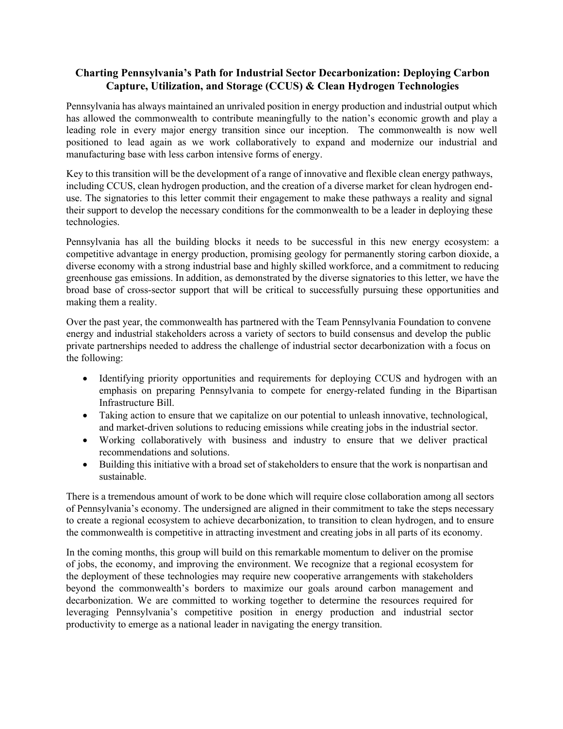## **Charting Pennsylvania's Path for Industrial Sector Decarbonization: Deploying Carbon Capture, Utilization, and Storage (CCUS) & Clean Hydrogen Technologies**

Pennsylvania has always maintained an unrivaled position in energy production and industrial output which has allowed the commonwealth to contribute meaningfully to the nation's economic growth and play a leading role in every major energy transition since our inception. The commonwealth is now well positioned to lead again as we work collaboratively to expand and modernize our industrial and manufacturing base with less carbon intensive forms of energy.

Key to this transition will be the development of a range of innovative and flexible clean energy pathways, including CCUS, clean hydrogen production, and the creation of a diverse market for clean hydrogen enduse. The signatories to this letter commit their engagement to make these pathways a reality and signal their support to develop the necessary conditions for the commonwealth to be a leader in deploying these technologies.

Pennsylvania has all the building blocks it needs to be successful in this new energy ecosystem: a competitive advantage in energy production, promising geology for permanently storing carbon dioxide, a diverse economy with a strong industrial base and highly skilled workforce, and a commitment to reducing greenhouse gas emissions. In addition, as demonstrated by the diverse signatories to this letter, we have the broad base of cross-sector support that will be critical to successfully pursuing these opportunities and making them a reality.

Over the past year, the commonwealth has partnered with the Team Pennsylvania Foundation to convene energy and industrial stakeholders across a variety of sectors to build consensus and develop the public private partnerships needed to address the challenge of industrial sector decarbonization with a focus on the following:

- Identifying priority opportunities and requirements for deploying CCUS and hydrogen with an emphasis on preparing Pennsylvania to compete for energy-related funding in the Bipartisan Infrastructure Bill.
- Taking action to ensure that we capitalize on our potential to unleash innovative, technological, and market-driven solutions to reducing emissions while creating jobs in the industrial sector.
- Working collaboratively with business and industry to ensure that we deliver practical recommendations and solutions.
- Building this initiative with a broad set of stakeholders to ensure that the work is nonpartisan and sustainable.

There is a tremendous amount of work to be done which will require close collaboration among all sectors of Pennsylvania's economy. The undersigned are aligned in their commitment to take the steps necessary to create a regional ecosystem to achieve decarbonization, to transition to clean hydrogen, and to ensure the commonwealth is competitive in attracting investment and creating jobs in all parts of its economy.

In the coming months, this group will build on this remarkable momentum to deliver on the promise of jobs, the economy, and improving the environment. We recognize that a regional ecosystem for the deployment of these technologies may require new cooperative arrangements with stakeholders beyond the commonwealth's borders to maximize our goals around carbon management and decarbonization. We are committed to working together to determine the resources required for leveraging Pennsylvania's competitive position in energy production and industrial sector productivity to emerge as a national leader in navigating the energy transition.